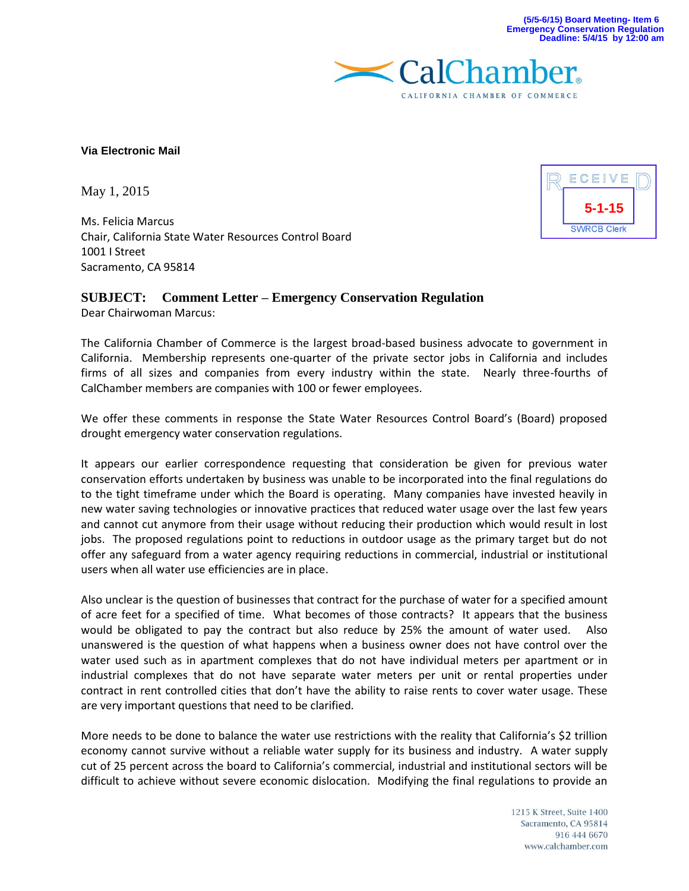**5-1-15**

**SWRCB Clerk** 

ECEIVE



## **Via Electronic Mail**

May 1, 2015

Ms. Felicia Marcus Chair, California State Water Resources Control Board 1001 I Street Sacramento, CA 95814

## **SUBJECT: Comment Letter – Emergency Conservation Regulation**

Dear Chairwoman Marcus:

The California Chamber of Commerce is the largest broad-based business advocate to government in California. Membership represents one-quarter of the private sector jobs in California and includes firms of all sizes and companies from every industry within the state. Nearly three-fourths of CalChamber members are companies with 100 or fewer employees.

We offer these comments in response the State Water Resources Control Board's (Board) proposed drought emergency water conservation regulations.

It appears our earlier correspondence requesting that consideration be given for previous water conservation efforts undertaken by business was unable to be incorporated into the final regulations do to the tight timeframe under which the Board is operating. Many companies have invested heavily in new water saving technologies or innovative practices that reduced water usage over the last few years and cannot cut anymore from their usage without reducing their production which would result in lost jobs. The proposed regulations point to reductions in outdoor usage as the primary target but do not offer any safeguard from a water agency requiring reductions in commercial, industrial or institutional users when all water use efficiencies are in place.

Also unclear is the question of businesses that contract for the purchase of water for a specified amount of acre feet for a specified of time. What becomes of those contracts? It appears that the business would be obligated to pay the contract but also reduce by 25% the amount of water used. Also unanswered is the question of what happens when a business owner does not have control over the water used such as in apartment complexes that do not have individual meters per apartment or in industrial complexes that do not have separate water meters per unit or rental properties under contract in rent controlled cities that don't have the ability to raise rents to cover water usage. These are very important questions that need to be clarified.

More needs to be done to balance the water use restrictions with the reality that California's \$2 trillion economy cannot survive without a reliable water supply for its business and industry. A water supply cut of 25 percent across the board to California's commercial, industrial and institutional sectors will be difficult to achieve without severe economic dislocation. Modifying the final regulations to provide an